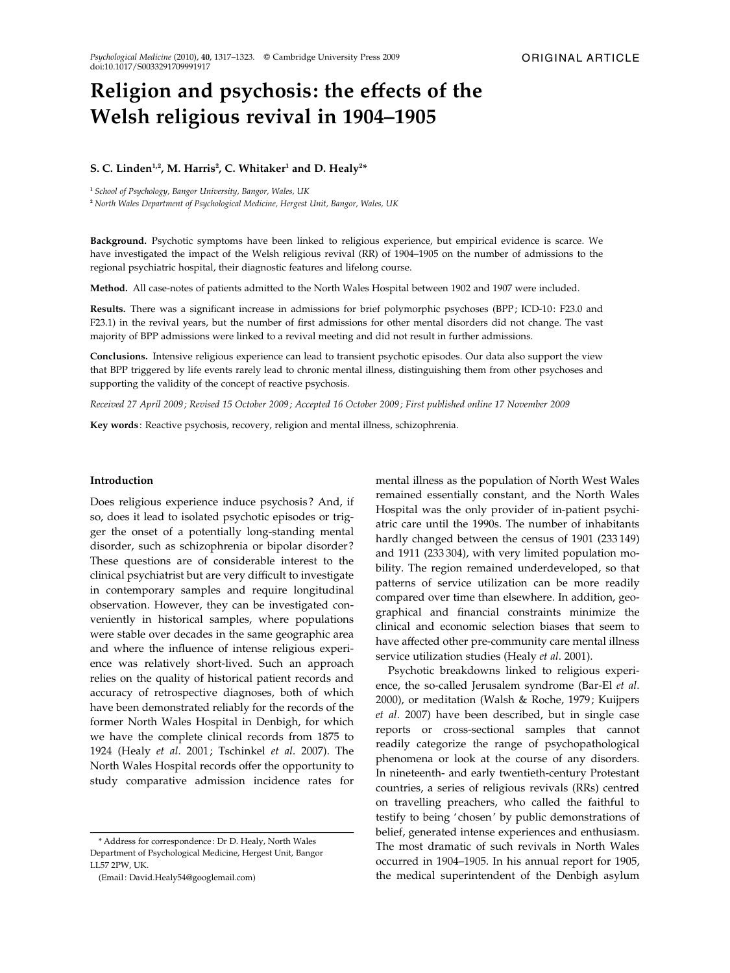# Religion and psychosis: the effects of the Welsh religious revival in 1904–1905

# S. C. Linden<sup>1,2</sup>, M. Harris<sup>2</sup>, C. Whitaker<sup>1</sup> and D. Healy<sup>2\*</sup>

<sup>1</sup> School of Psychology, Bangor University, Bangor, Wales, UK <sup>2</sup> North Wales Department of Psychological Medicine, Hergest Unit, Bangor, Wales, UK

Background. Psychotic symptoms have been linked to religious experience, but empirical evidence is scarce. We have investigated the impact of the Welsh religious revival (RR) of 1904–1905 on the number of admissions to the regional psychiatric hospital, their diagnostic features and lifelong course.

Method. All case-notes of patients admitted to the North Wales Hospital between 1902 and 1907 were included.

Results. There was a significant increase in admissions for brief polymorphic psychoses (BPP ; ICD-10: F23.0 and F23.1) in the revival years, but the number of first admissions for other mental disorders did not change. The vast majority of BPP admissions were linked to a revival meeting and did not result in further admissions.

Conclusions. Intensive religious experience can lead to transient psychotic episodes. Our data also support the view that BPP triggered by life events rarely lead to chronic mental illness, distinguishing them from other psychoses and supporting the validity of the concept of reactive psychosis.

Received 27 April 2009 ; Revised 15 October 2009 ; Accepted 16 October 2009 ; First published online 17 November 2009

Key words : Reactive psychosis, recovery, religion and mental illness, schizophrenia.

#### Introduction

Does religious experience induce psychosis ? And, if so, does it lead to isolated psychotic episodes or trigger the onset of a potentially long-standing mental disorder, such as schizophrenia or bipolar disorder ? These questions are of considerable interest to the clinical psychiatrist but are very difficult to investigate in contemporary samples and require longitudinal observation. However, they can be investigated conveniently in historical samples, where populations were stable over decades in the same geographic area and where the influence of intense religious experience was relatively short-lived. Such an approach relies on the quality of historical patient records and accuracy of retrospective diagnoses, both of which have been demonstrated reliably for the records of the former North Wales Hospital in Denbigh, for which we have the complete clinical records from 1875 to 1924 (Healy et al. 2001; Tschinkel et al. 2007). The North Wales Hospital records offer the opportunity to study comparative admission incidence rates for

(Email : David.Healy54@googlemail.com)

mental illness as the population of North West Wales remained essentially constant, and the North Wales Hospital was the only provider of in-patient psychiatric care until the 1990s. The number of inhabitants hardly changed between the census of 1901 (233 149) and 1911 (233 304), with very limited population mobility. The region remained underdeveloped, so that patterns of service utilization can be more readily compared over time than elsewhere. In addition, geographical and financial constraints minimize the clinical and economic selection biases that seem to have affected other pre-community care mental illness service utilization studies (Healy et al. 2001).

Psychotic breakdowns linked to religious experience, the so-called Jerusalem syndrome (Bar-El et al. 2000), or meditation (Walsh & Roche, 1979; Kuijpers et al. 2007) have been described, but in single case reports or cross-sectional samples that cannot readily categorize the range of psychopathological phenomena or look at the course of any disorders. In nineteenth- and early twentieth-century Protestant countries, a series of religious revivals (RRs) centred on travelling preachers, who called the faithful to testify to being 'chosen' by public demonstrations of belief, generated intense experiences and enthusiasm. The most dramatic of such revivals in North Wales occurred in 1904–1905. In his annual report for 1905, the medical superintendent of the Denbigh asylum

<sup>\*</sup> Address for correspondence : Dr D. Healy, North Wales Department of Psychological Medicine, Hergest Unit, Bangor LL57 2PW, UK.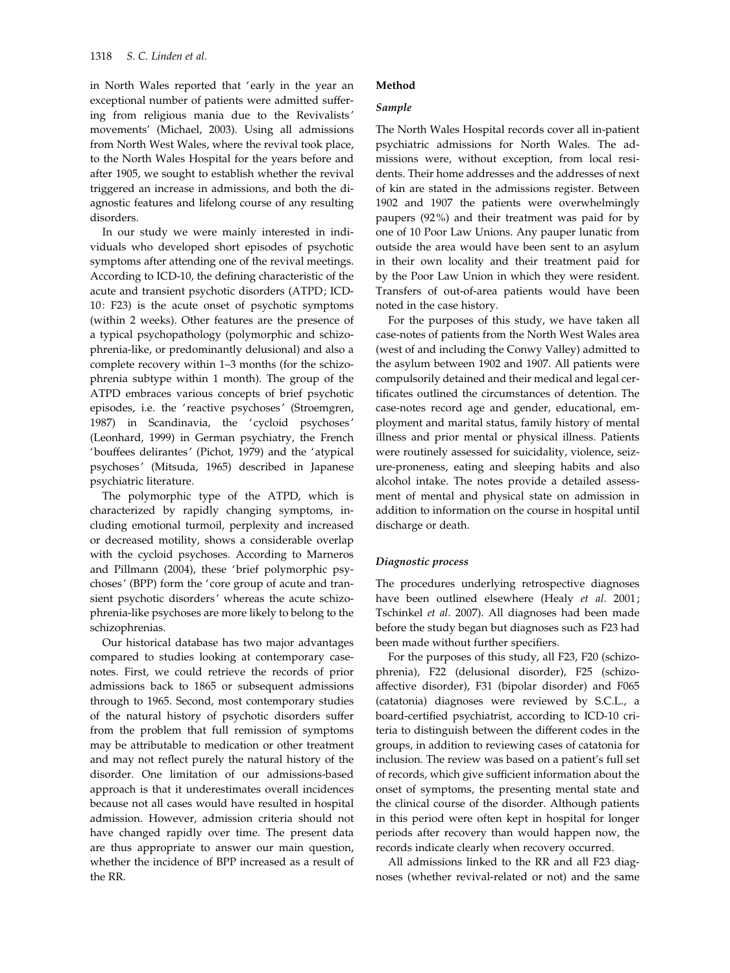in North Wales reported that 'early in the year an exceptional number of patients were admitted suffering from religious mania due to the Revivalists' movements' (Michael, 2003). Using all admissions from North West Wales, where the revival took place, to the North Wales Hospital for the years before and after 1905, we sought to establish whether the revival triggered an increase in admissions, and both the diagnostic features and lifelong course of any resulting disorders.

In our study we were mainly interested in individuals who developed short episodes of psychotic symptoms after attending one of the revival meetings. According to ICD-10, the defining characteristic of the acute and transient psychotic disorders (ATPD; ICD-10: F23) is the acute onset of psychotic symptoms (within 2 weeks). Other features are the presence of a typical psychopathology (polymorphic and schizophrenia-like, or predominantly delusional) and also a complete recovery within 1–3 months (for the schizophrenia subtype within 1 month). The group of the ATPD embraces various concepts of brief psychotic episodes, i.e. the ' reactive psychoses' (Stroemgren, 1987) in Scandinavia, the 'cycloid psychoses' (Leonhard, 1999) in German psychiatry, the French ' bouffees delirantes' (Pichot, 1979) and the ' atypical psychoses' (Mitsuda, 1965) described in Japanese psychiatric literature.

The polymorphic type of the ATPD, which is characterized by rapidly changing symptoms, including emotional turmoil, perplexity and increased or decreased motility, shows a considerable overlap with the cycloid psychoses. According to Marneros and Pillmann (2004), these 'brief polymorphic psychoses' (BPP) form the 'core group of acute and transient psychotic disorders' whereas the acute schizophrenia-like psychoses are more likely to belong to the schizophrenias.

Our historical database has two major advantages compared to studies looking at contemporary casenotes. First, we could retrieve the records of prior admissions back to 1865 or subsequent admissions through to 1965. Second, most contemporary studies of the natural history of psychotic disorders suffer from the problem that full remission of symptoms may be attributable to medication or other treatment and may not reflect purely the natural history of the disorder. One limitation of our admissions-based approach is that it underestimates overall incidences because not all cases would have resulted in hospital admission. However, admission criteria should not have changed rapidly over time. The present data are thus appropriate to answer our main question, whether the incidence of BPP increased as a result of the RR.

# Method

# Sample

The North Wales Hospital records cover all in-patient psychiatric admissions for North Wales. The admissions were, without exception, from local residents. Their home addresses and the addresses of next of kin are stated in the admissions register. Between 1902 and 1907 the patients were overwhelmingly paupers (92%) and their treatment was paid for by one of 10 Poor Law Unions. Any pauper lunatic from outside the area would have been sent to an asylum in their own locality and their treatment paid for by the Poor Law Union in which they were resident. Transfers of out-of-area patients would have been noted in the case history.

For the purposes of this study, we have taken all case-notes of patients from the North West Wales area (west of and including the Conwy Valley) admitted to the asylum between 1902 and 1907. All patients were compulsorily detained and their medical and legal certificates outlined the circumstances of detention. The case-notes record age and gender, educational, employment and marital status, family history of mental illness and prior mental or physical illness. Patients were routinely assessed for suicidality, violence, seizure-proneness, eating and sleeping habits and also alcohol intake. The notes provide a detailed assessment of mental and physical state on admission in addition to information on the course in hospital until discharge or death.

## Diagnostic process

The procedures underlying retrospective diagnoses have been outlined elsewhere (Healy et al. 2001; Tschinkel et al. 2007). All diagnoses had been made before the study began but diagnoses such as F23 had been made without further specifiers.

For the purposes of this study, all F23, F20 (schizophrenia), F22 (delusional disorder), F25 (schizoaffective disorder), F31 (bipolar disorder) and F065 (catatonia) diagnoses were reviewed by S.C.L., a board-certified psychiatrist, according to ICD-10 criteria to distinguish between the different codes in the groups, in addition to reviewing cases of catatonia for inclusion. The review was based on a patient's full set of records, which give sufficient information about the onset of symptoms, the presenting mental state and the clinical course of the disorder. Although patients in this period were often kept in hospital for longer periods after recovery than would happen now, the records indicate clearly when recovery occurred.

All admissions linked to the RR and all F23 diagnoses (whether revival-related or not) and the same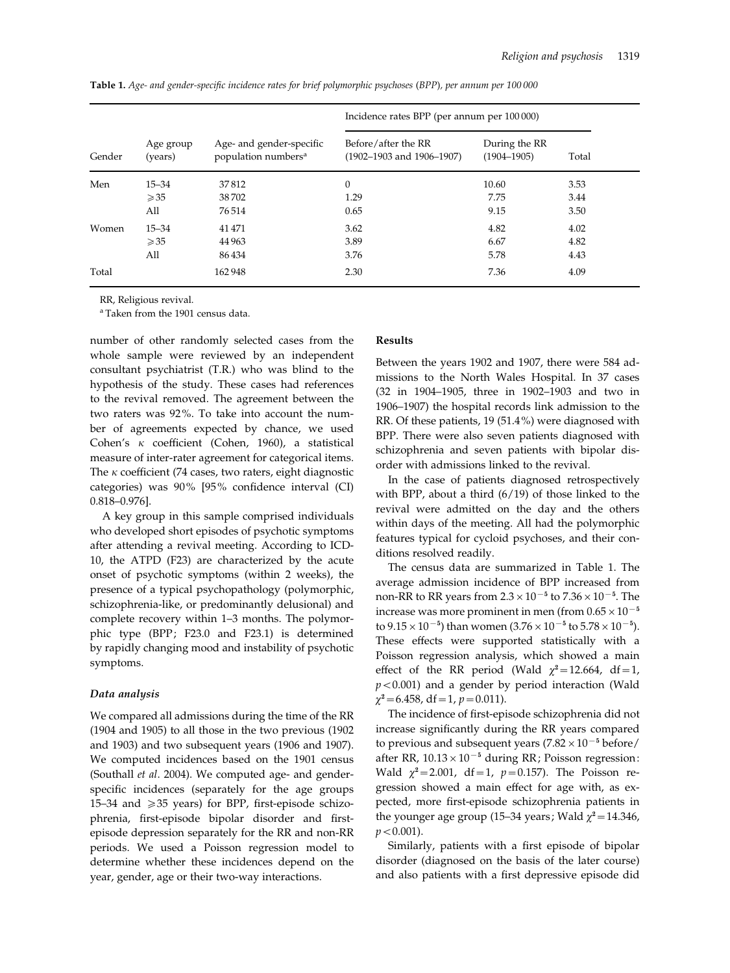| Gender | Age group<br>(years)               | Age- and gender-specific<br>population numbers <sup>a</sup> | Incidence rates BPP (per annum per 100 000)              |                                  |                      |  |
|--------|------------------------------------|-------------------------------------------------------------|----------------------------------------------------------|----------------------------------|----------------------|--|
|        |                                    |                                                             | Before/after the RR<br>$(1902 - 1903$ and $1906 - 1907)$ | During the RR<br>$(1904 - 1905)$ | Total                |  |
| Men    | $15 - 34$<br>$\geqslant$ 35<br>All | 37812<br>38702<br>76514                                     | 0<br>1.29<br>0.65                                        | 10.60<br>7.75<br>9.15            | 3.53<br>3.44<br>3.50 |  |
| Women  | $15 - 34$<br>$\geqslant$ 35<br>All | 41471<br>44 9 63<br>86434                                   | 3.62<br>3.89<br>3.76                                     | 4.82<br>6.67<br>5.78             | 4.02<br>4.82<br>4.43 |  |
| Total  |                                    | 162948                                                      | 2.30                                                     | 7.36                             | 4.09                 |  |

Table 1. Age- and gender-specific incidence rates for brief polymorphic psychoses (BPP), per annum per 100 000

RR, Religious revival.

<sup>a</sup> Taken from the 1901 census data.

number of other randomly selected cases from the whole sample were reviewed by an independent consultant psychiatrist (T.R.) who was blind to the hypothesis of the study. These cases had references to the revival removed. The agreement between the two raters was 92%. To take into account the number of agreements expected by chance, we used Cohen's  $\kappa$  coefficient (Cohen, 1960), a statistical measure of inter-rater agreement for categorical items. The  $\kappa$  coefficient (74 cases, two raters, eight diagnostic categories) was 90% [95% confidence interval (CI) 0.818–0.976].

A key group in this sample comprised individuals who developed short episodes of psychotic symptoms after attending a revival meeting. According to ICD-10, the ATPD (F23) are characterized by the acute onset of psychotic symptoms (within 2 weeks), the presence of a typical psychopathology (polymorphic, schizophrenia-like, or predominantly delusional) and complete recovery within 1–3 months. The polymorphic type (BPP; F23.0 and F23.1) is determined by rapidly changing mood and instability of psychotic symptoms.

#### Data analysis

We compared all admissions during the time of the RR (1904 and 1905) to all those in the two previous (1902 and 1903) and two subsequent years (1906 and 1907). We computed incidences based on the 1901 census (Southall et al. 2004). We computed age- and genderspecific incidences (separately for the age groups 15–34 and  $\geq$ 35 years) for BPP, first-episode schizophrenia, first-episode bipolar disorder and firstepisode depression separately for the RR and non-RR periods. We used a Poisson regression model to determine whether these incidences depend on the year, gender, age or their two-way interactions.

#### Results

Between the years 1902 and 1907, there were 584 admissions to the North Wales Hospital. In 37 cases (32 in 1904–1905, three in 1902–1903 and two in 1906–1907) the hospital records link admission to the RR. Of these patients, 19 (51.4%) were diagnosed with BPP. There were also seven patients diagnosed with schizophrenia and seven patients with bipolar disorder with admissions linked to the revival.

In the case of patients diagnosed retrospectively with BPP, about a third (6/19) of those linked to the revival were admitted on the day and the others within days of the meeting. All had the polymorphic features typical for cycloid psychoses, and their conditions resolved readily.

The census data are summarized in Table 1. The average admission incidence of BPP increased from non-RR to RR years from  $2.3 \times 10^{-5}$  to  $7.36 \times 10^{-5}$ . The increase was more prominent in men (from  $0.65 \times 10^{-5}$ to  $9.15 \times 10^{-5}$ ) than women  $(3.76 \times 10^{-5}$  to  $5.78 \times 10^{-5})$ . These effects were supported statistically with a Poisson regression analysis, which showed a main effect of the RR period (Wald  $\chi^2$  = 12.664, df = 1,  $p < 0.001$ ) and a gender by period interaction (Wald  $\chi^2$  = 6.458, df = 1, p = 0.011).

The incidence of first-episode schizophrenia did not increase significantly during the RR years compared to previous and subsequent years  $(7.82\times10^{-5}$  before/ after RR,  $10.13 \times 10^{-5}$  during RR; Poisson regression: Wald  $\chi^2 = 2.001$ , df = 1, p = 0.157). The Poisson regression showed a main effect for age with, as expected, more first-episode schizophrenia patients in the younger age group (15–34 years; Wald  $\chi^2$  = 14.346,  $p < 0.001$ ).

Similarly, patients with a first episode of bipolar disorder (diagnosed on the basis of the later course) and also patients with a first depressive episode did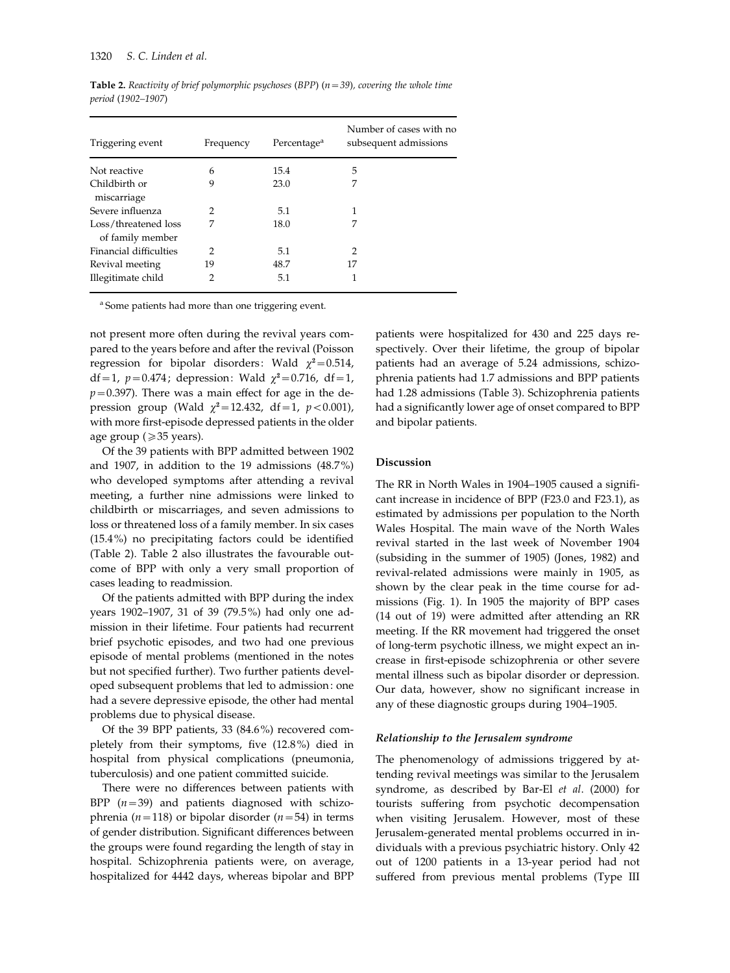| Triggering event                         | Frequency      | Percentage <sup>a</sup> | Number of cases with no<br>subsequent admissions |
|------------------------------------------|----------------|-------------------------|--------------------------------------------------|
| Not reactive                             | 6              | 15.4                    | 5                                                |
| Childbirth or<br>miscarriage             | 9              | 23.0                    | 7                                                |
| Severe influenza                         | 2              | 5.1                     |                                                  |
| Loss/threatened loss<br>of family member | 7              | 18.0                    | 7                                                |
| Financial difficulties                   | 2              | 5.1                     | 2                                                |
| Revival meeting                          | 19             | 48.7                    | 17                                               |
| Illegitimate child                       | $\overline{2}$ | 5.1                     |                                                  |

**Table 2.** Reactivity of brief polymorphic psychoses (BPP)  $(n=39)$ , covering the whole time period (1902–1907)

<sup>a</sup> Some patients had more than one triggering event.

not present more often during the revival years compared to the years before and after the revival (Poisson regression for bipolar disorders: Wald  $\chi^2$  = 0.514, df = 1,  $p = 0.474$ ; depression: Wald  $\chi^2 = 0.716$ , df = 1,  $p=0.397$ ). There was a main effect for age in the depression group (Wald  $\chi^2$ =12.432, df=1, p<0.001), with more first-episode depressed patients in the older age group ( $\geq$ 35 years).

Of the 39 patients with BPP admitted between 1902 and 1907, in addition to the 19 admissions (48.7%) who developed symptoms after attending a revival meeting, a further nine admissions were linked to childbirth or miscarriages, and seven admissions to loss or threatened loss of a family member. In six cases (15.4%) no precipitating factors could be identified (Table 2). Table 2 also illustrates the favourable outcome of BPP with only a very small proportion of cases leading to readmission.

Of the patients admitted with BPP during the index years 1902–1907, 31 of 39 (79.5%) had only one admission in their lifetime. Four patients had recurrent brief psychotic episodes, and two had one previous episode of mental problems (mentioned in the notes but not specified further). Two further patients developed subsequent problems that led to admission: one had a severe depressive episode, the other had mental problems due to physical disease.

Of the 39 BPP patients, 33 (84.6%) recovered completely from their symptoms, five (12.8%) died in hospital from physical complications (pneumonia, tuberculosis) and one patient committed suicide.

There were no differences between patients with BPP  $(n=39)$  and patients diagnosed with schizophrenia ( $n=118$ ) or bipolar disorder ( $n=54$ ) in terms of gender distribution. Significant differences between the groups were found regarding the length of stay in hospital. Schizophrenia patients were, on average, hospitalized for 4442 days, whereas bipolar and BPP

patients were hospitalized for 430 and 225 days respectively. Over their lifetime, the group of bipolar patients had an average of 5.24 admissions, schizophrenia patients had 1.7 admissions and BPP patients had 1.28 admissions (Table 3). Schizophrenia patients had a significantly lower age of onset compared to BPP and bipolar patients.

## Discussion

The RR in North Wales in 1904–1905 caused a significant increase in incidence of BPP (F23.0 and F23.1), as estimated by admissions per population to the North Wales Hospital. The main wave of the North Wales revival started in the last week of November 1904 (subsiding in the summer of 1905) (Jones, 1982) and revival-related admissions were mainly in 1905, as shown by the clear peak in the time course for admissions (Fig. 1). In 1905 the majority of BPP cases (14 out of 19) were admitted after attending an RR meeting. If the RR movement had triggered the onset of long-term psychotic illness, we might expect an increase in first-episode schizophrenia or other severe mental illness such as bipolar disorder or depression. Our data, however, show no significant increase in any of these diagnostic groups during 1904–1905.

## Relationship to the Jerusalem syndrome

The phenomenology of admissions triggered by attending revival meetings was similar to the Jerusalem syndrome, as described by Bar-El et al. (2000) for tourists suffering from psychotic decompensation when visiting Jerusalem. However, most of these Jerusalem-generated mental problems occurred in individuals with a previous psychiatric history. Only 42 out of 1200 patients in a 13-year period had not suffered from previous mental problems (Type III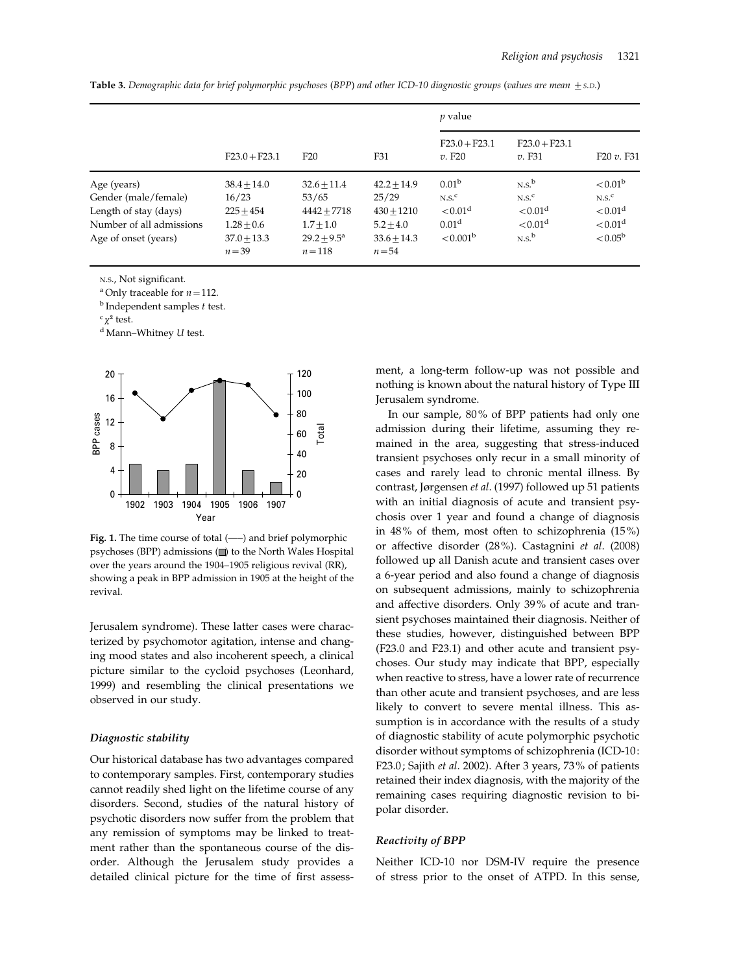|                                                                                                                  |                                                                                    |                                                                                             |                                                                                    | $p$ value                                                                                            |                                                                                                        |                                                                                                               |
|------------------------------------------------------------------------------------------------------------------|------------------------------------------------------------------------------------|---------------------------------------------------------------------------------------------|------------------------------------------------------------------------------------|------------------------------------------------------------------------------------------------------|--------------------------------------------------------------------------------------------------------|---------------------------------------------------------------------------------------------------------------|
|                                                                                                                  | $F23.0 + F23.1$                                                                    | F20                                                                                         | F31                                                                                | $F23.0 + F23.1$<br>v. F20                                                                            | $F23.0 + F23.1$<br>$v.$ F31                                                                            | F20 v. F31                                                                                                    |
| Age (years)<br>Gender (male/female)<br>Length of stay (days)<br>Number of all admissions<br>Age of onset (years) | $38.4 + 14.0$<br>16/23<br>$225 + 454$<br>$1.28 + 0.6$<br>$37.0 + 13.3$<br>$n = 39$ | $32.6 + 11.4$<br>53/65<br>$4442 + 7718$<br>$1.7 + 1.0$<br>$29.2 + 9.5^{\rm a}$<br>$n = 118$ | $42.2 + 14.9$<br>25/29<br>$430 + 1210$<br>$5.2 + 4.0$<br>$33.6 + 14.3$<br>$n = 54$ | 0.01 <sup>b</sup><br>$N.S.^c$<br>${<}0.01$ <sup>d</sup><br>0.01 <sup>d</sup><br>< 0.001 <sup>b</sup> | N.S. <sup>b</sup><br>$N.S.^c$<br>${<}0.01$ <sup>d</sup><br>${<}0.01$ <sup>d</sup><br>N.S. <sup>b</sup> | $< 0.01^{\rm b}$<br>N.S. <sup>c</sup><br>${<}0.01$ <sup>d</sup><br>${<}0.01$ <sup>d</sup><br>$< 0.05^{\rm b}$ |

Table 3. Demographic data for brief polymorphic psychoses (BPP) and other ICD-10 diagnostic groups (values are mean  $\pm$  s.p.)

N.S., Not significant.

<sup>a</sup> Only traceable for  $n=112$ .

 $<sup>b</sup>$  Independent samples  $t$  test.</sup>

 $\frac{c}{\chi^2}$  test.

 $d$  Mann–Whitney  $U$  test.



Fig. 1. The time course of total (---) and brief polymorphic psychoses (BPP) admissions  $(\blacksquare)$  to the North Wales Hospital over the years around the 1904–1905 religious revival (RR), showing a peak in BPP admission in 1905 at the height of the revival.

Jerusalem syndrome). These latter cases were characterized by psychomotor agitation, intense and changing mood states and also incoherent speech, a clinical picture similar to the cycloid psychoses (Leonhard, 1999) and resembling the clinical presentations we observed in our study.

#### Diagnostic stability

Our historical database has two advantages compared to contemporary samples. First, contemporary studies cannot readily shed light on the lifetime course of any disorders. Second, studies of the natural history of psychotic disorders now suffer from the problem that any remission of symptoms may be linked to treatment rather than the spontaneous course of the disorder. Although the Jerusalem study provides a detailed clinical picture for the time of first assessment, a long-term follow-up was not possible and nothing is known about the natural history of Type III Jerusalem syndrome.

In our sample, 80% of BPP patients had only one admission during their lifetime, assuming they remained in the area, suggesting that stress-induced transient psychoses only recur in a small minority of cases and rarely lead to chronic mental illness. By contrast, Jørgensen et al. (1997) followed up 51 patients with an initial diagnosis of acute and transient psychosis over 1 year and found a change of diagnosis in 48% of them, most often to schizophrenia (15%) or affective disorder (28%). Castagnini et al. (2008) followed up all Danish acute and transient cases over a 6-year period and also found a change of diagnosis on subsequent admissions, mainly to schizophrenia and affective disorders. Only 39% of acute and transient psychoses maintained their diagnosis. Neither of these studies, however, distinguished between BPP (F23.0 and F23.1) and other acute and transient psychoses. Our study may indicate that BPP, especially when reactive to stress, have a lower rate of recurrence than other acute and transient psychoses, and are less likely to convert to severe mental illness. This assumption is in accordance with the results of a study of diagnostic stability of acute polymorphic psychotic disorder without symptoms of schizophrenia (ICD-10: F23.0; Sajith et al. 2002). After 3 years, 73% of patients retained their index diagnosis, with the majority of the remaining cases requiring diagnostic revision to bipolar disorder.

# Reactivity of BPP

Neither ICD-10 nor DSM-IV require the presence of stress prior to the onset of ATPD. In this sense,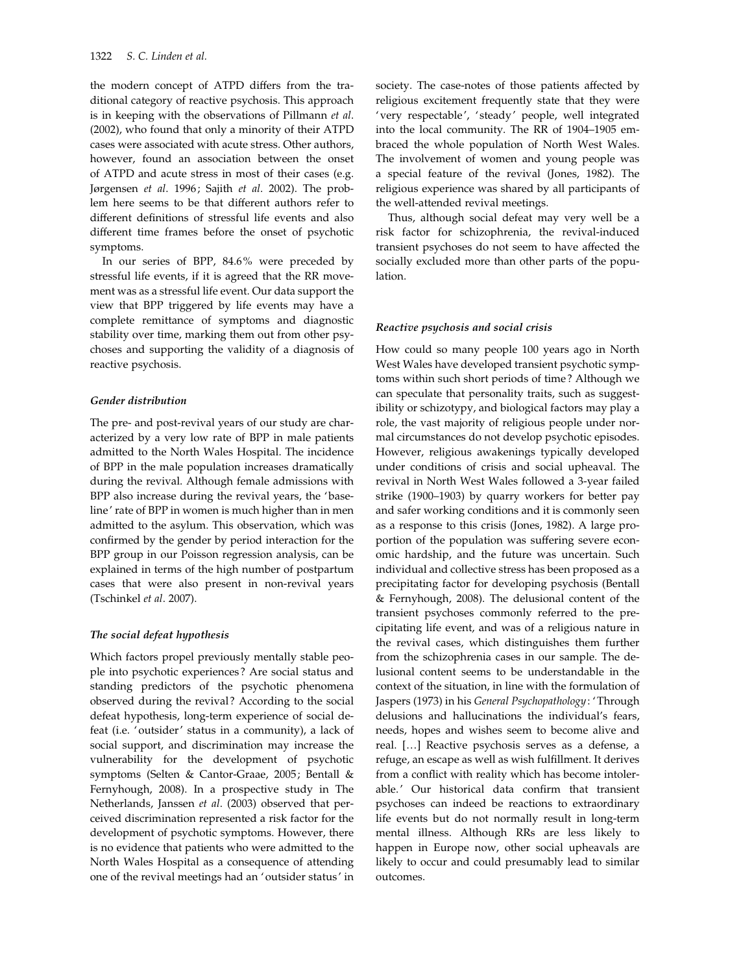the modern concept of ATPD differs from the traditional category of reactive psychosis. This approach is in keeping with the observations of Pillmann et al. (2002), who found that only a minority of their ATPD cases were associated with acute stress. Other authors, however, found an association between the onset of ATPD and acute stress in most of their cases (e.g. Jørgensen et al. 1996; Sajith et al. 2002). The problem here seems to be that different authors refer to different definitions of stressful life events and also different time frames before the onset of psychotic symptoms.

In our series of BPP, 84.6% were preceded by stressful life events, if it is agreed that the RR movement was as a stressful life event. Our data support the view that BPP triggered by life events may have a complete remittance of symptoms and diagnostic stability over time, marking them out from other psychoses and supporting the validity of a diagnosis of reactive psychosis.

# Gender distribution

The pre- and post-revival years of our study are characterized by a very low rate of BPP in male patients admitted to the North Wales Hospital. The incidence of BPP in the male population increases dramatically during the revival. Although female admissions with BPP also increase during the revival years, the 'baseline' rate of BPP in women is much higher than in men admitted to the asylum. This observation, which was confirmed by the gender by period interaction for the BPP group in our Poisson regression analysis, can be explained in terms of the high number of postpartum cases that were also present in non-revival years (Tschinkel et al. 2007).

## The social defeat hypothesis

Which factors propel previously mentally stable people into psychotic experiences ? Are social status and standing predictors of the psychotic phenomena observed during the revival? According to the social defeat hypothesis, long-term experience of social defeat (i.e. ' outsider' status in a community), a lack of social support, and discrimination may increase the vulnerability for the development of psychotic symptoms (Selten & Cantor-Graae, 2005; Bentall & Fernyhough, 2008). In a prospective study in The Netherlands, Janssen et al. (2003) observed that perceived discrimination represented a risk factor for the development of psychotic symptoms. However, there is no evidence that patients who were admitted to the North Wales Hospital as a consequence of attending one of the revival meetings had an ' outsider status' in

society. The case-notes of those patients affected by religious excitement frequently state that they were 'very respectable', ' steady' people, well integrated into the local community. The RR of 1904–1905 embraced the whole population of North West Wales. The involvement of women and young people was a special feature of the revival (Jones, 1982). The religious experience was shared by all participants of the well-attended revival meetings.

Thus, although social defeat may very well be a risk factor for schizophrenia, the revival-induced transient psychoses do not seem to have affected the socially excluded more than other parts of the population.

## Reactive psychosis and social crisis

How could so many people 100 years ago in North West Wales have developed transient psychotic symptoms within such short periods of time ? Although we can speculate that personality traits, such as suggestibility or schizotypy, and biological factors may play a role, the vast majority of religious people under normal circumstances do not develop psychotic episodes. However, religious awakenings typically developed under conditions of crisis and social upheaval. The revival in North West Wales followed a 3-year failed strike (1900–1903) by quarry workers for better pay and safer working conditions and it is commonly seen as a response to this crisis (Jones, 1982). A large proportion of the population was suffering severe economic hardship, and the future was uncertain. Such individual and collective stress has been proposed as a precipitating factor for developing psychosis (Bentall & Fernyhough, 2008). The delusional content of the transient psychoses commonly referred to the precipitating life event, and was of a religious nature in the revival cases, which distinguishes them further from the schizophrenia cases in our sample. The delusional content seems to be understandable in the context of the situation, in line with the formulation of Jaspers (1973) in his General Psychopathology: 'Through delusions and hallucinations the individual's fears, needs, hopes and wishes seem to become alive and real. […] Reactive psychosis serves as a defense, a refuge, an escape as well as wish fulfillment. It derives from a conflict with reality which has become intolerable.' Our historical data confirm that transient psychoses can indeed be reactions to extraordinary life events but do not normally result in long-term mental illness. Although RRs are less likely to happen in Europe now, other social upheavals are likely to occur and could presumably lead to similar outcomes.